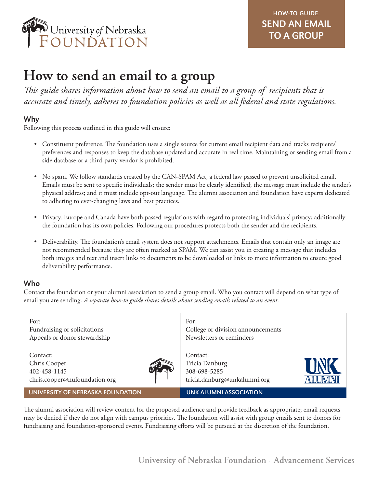

# **How to send an email to a group**

*This guide shares information about how to send an email to a group of recipients that is accurate and timely, adheres to foundation policies as well as all federal and state regulations.*

## Why

Following this process outlined in this guide will ensure:

- Constituent preference. The foundation uses a single source for current email recipient data and tracks recipients' preferences and responses to keep the database updated and accurate in real time. Maintaining or sending email from a side database or a third-party vendor is prohibited.
- No spam. We follow standards created by the CAN-SPAM Act, a federal law passed to prevent unsolicited email. Emails must be sent to specific individuals; the sender must be clearly identified; the message must include the sender's physical address; and it must include opt-out language. The alumni association and foundation have experts dedicated to adhering to ever-changing laws and best practices.
- Privacy. Europe and Canada have both passed regulations with regard to protecting individuals' privacy; additionally the foundation has its own policies. Following our procedures protects both the sender and the recipients.
- Deliverability. The foundation's email system does not support attachments. Emails that contain only an image are not recommended because they are often marked as SPAM. We can assist you in creating a message that includes both images and text and insert links to documents to be downloaded or links to more information to ensure good deliverability performance.

## Who

Contact the foundation or your alumni association to send a group email. Who you contact will depend on what type of email you are sending. *A separate how-to guide shares details about sending emails related to an event*.

| For:                              | For:                              |
|-----------------------------------|-----------------------------------|
| Fundraising or solicitations      | College or division announcements |
| Appeals or donor stewardship      | Newsletters or reminders          |
| Contact:                          | Contact:                          |
| Chris Cooper                      | Tricia Danburg                    |
| 402-458-1145                      | 308-698-5285                      |
| chris.cooper@nufoundation.org     | tricia.danburg@unkalumni.org      |
| UNIVERSITY OF NEBRASKA FOUNDATION | <b>UNK ALUMNI ASSOCIATION</b>     |

The alumni association will review content for the proposed audience and provide feedback as appropriate; email requests may be denied if they do not align with campus priorities. The foundation will assist with group emails sent to donors for fundraising and foundation-sponsored events. Fundraising efforts will be pursued at the discretion of the foundation.